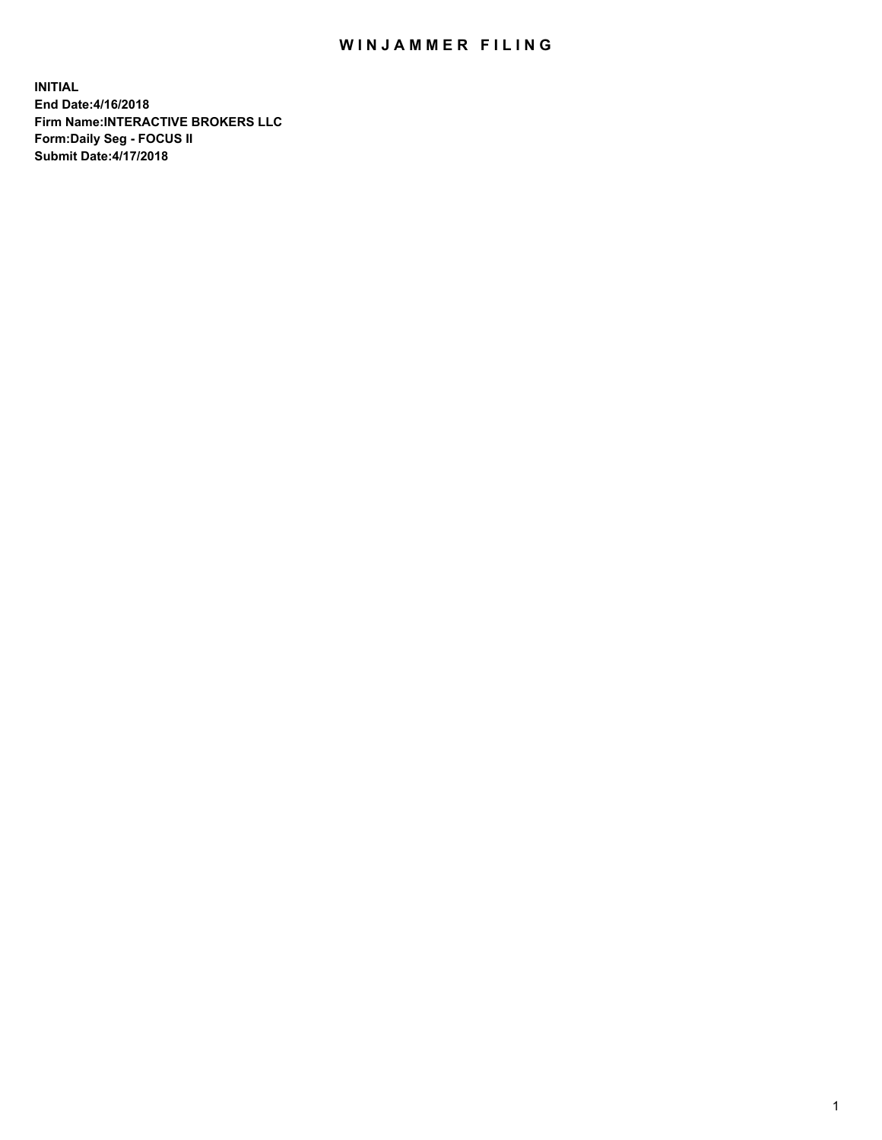## WIN JAMMER FILING

**INITIAL End Date:4/16/2018 Firm Name:INTERACTIVE BROKERS LLC Form:Daily Seg - FOCUS II Submit Date:4/17/2018**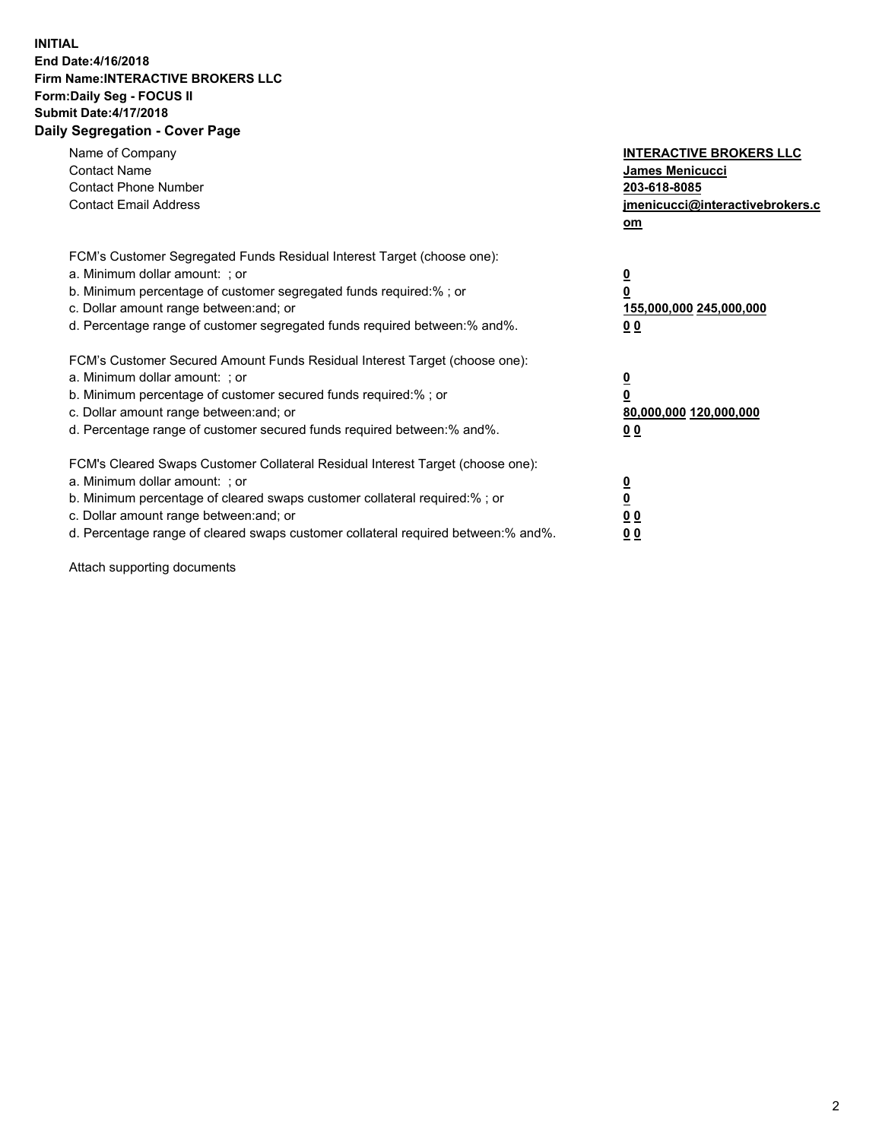## **INITIAL End Date:4/16/2018 Firm Name:INTERACTIVE BROKERS LLC Form:Daily Seg - FOCUS II Submit Date:4/17/2018 Daily Segregation - Cover Page**

| Name of Company<br><b>Contact Name</b><br><b>Contact Phone Number</b><br><b>Contact Email Address</b>                                                                                                                                                                                                                          | <b>INTERACTIVE BROKERS LLC</b><br><b>James Menicucci</b><br>203-618-8085<br>jmenicucci@interactivebrokers.c<br>om |
|--------------------------------------------------------------------------------------------------------------------------------------------------------------------------------------------------------------------------------------------------------------------------------------------------------------------------------|-------------------------------------------------------------------------------------------------------------------|
| FCM's Customer Segregated Funds Residual Interest Target (choose one):<br>a. Minimum dollar amount: ; or<br>b. Minimum percentage of customer segregated funds required:% ; or<br>c. Dollar amount range between: and; or<br>d. Percentage range of customer segregated funds required between: % and %.                       | $\overline{\mathbf{0}}$<br>0<br>155,000,000 245,000,000<br>00                                                     |
| FCM's Customer Secured Amount Funds Residual Interest Target (choose one):<br>a. Minimum dollar amount: ; or<br>b. Minimum percentage of customer secured funds required:%; or<br>c. Dollar amount range between: and; or<br>d. Percentage range of customer secured funds required between: % and %.                          | $\overline{\mathbf{0}}$<br>0<br>80,000,000 120,000,000<br>00                                                      |
| FCM's Cleared Swaps Customer Collateral Residual Interest Target (choose one):<br>a. Minimum dollar amount: ; or<br>b. Minimum percentage of cleared swaps customer collateral required:% ; or<br>c. Dollar amount range between: and; or<br>d. Percentage range of cleared swaps customer collateral required between:% and%. | $\overline{\mathbf{0}}$<br>$\overline{\mathbf{0}}$<br>00<br>0 <sub>0</sub>                                        |

Attach supporting documents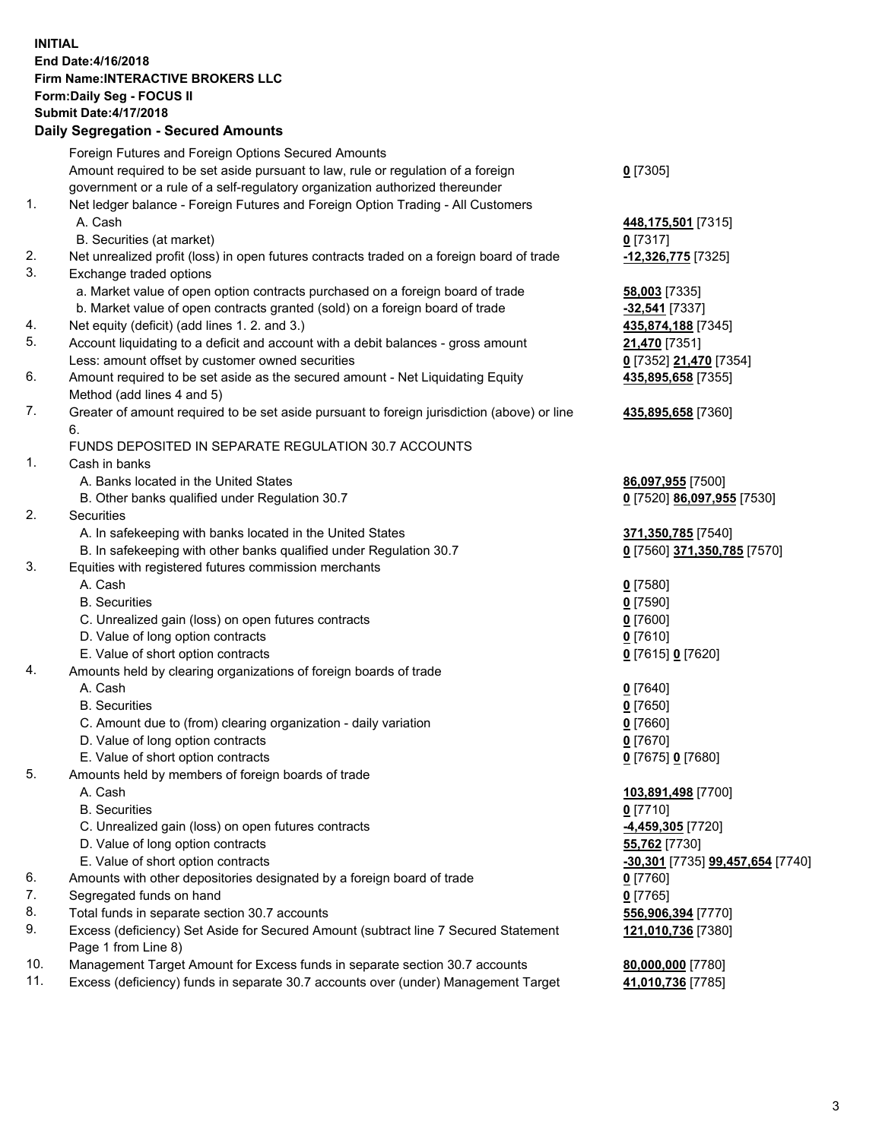## **INITIAL End Date:4/16/2018 Firm Name:INTERACTIVE BROKERS LLC Form:Daily Seg - FOCUS II Submit Date:4/17/2018 Daily Segregation - Secured Amounts**

|     | Daily Segregation - Secured Announts                                                                       |                                  |
|-----|------------------------------------------------------------------------------------------------------------|----------------------------------|
|     | Foreign Futures and Foreign Options Secured Amounts                                                        |                                  |
|     | Amount required to be set aside pursuant to law, rule or regulation of a foreign                           | $0$ [7305]                       |
|     | government or a rule of a self-regulatory organization authorized thereunder                               |                                  |
| 1.  | Net ledger balance - Foreign Futures and Foreign Option Trading - All Customers                            |                                  |
|     | A. Cash                                                                                                    | 448,175,501 [7315]               |
|     | B. Securities (at market)                                                                                  | $0$ [7317]                       |
| 2.  | Net unrealized profit (loss) in open futures contracts traded on a foreign board of trade                  | -12,326,775 [7325]               |
| 3.  | Exchange traded options                                                                                    |                                  |
|     | a. Market value of open option contracts purchased on a foreign board of trade                             | 58,003 [7335]                    |
|     | b. Market value of open contracts granted (sold) on a foreign board of trade                               | -32,541 [7337]                   |
| 4.  | Net equity (deficit) (add lines 1.2. and 3.)                                                               | 435,874,188 [7345]               |
| 5.  | Account liquidating to a deficit and account with a debit balances - gross amount                          | 21,470 [7351]                    |
|     | Less: amount offset by customer owned securities                                                           | 0 [7352] 21,470 [7354]           |
| 6.  | Amount required to be set aside as the secured amount - Net Liquidating Equity                             | 435,895,658 [7355]               |
|     | Method (add lines 4 and 5)                                                                                 |                                  |
| 7.  | Greater of amount required to be set aside pursuant to foreign jurisdiction (above) or line                | 435,895,658 [7360]               |
|     | 6.                                                                                                         |                                  |
|     | FUNDS DEPOSITED IN SEPARATE REGULATION 30.7 ACCOUNTS                                                       |                                  |
| 1.  | Cash in banks                                                                                              |                                  |
|     | A. Banks located in the United States                                                                      | 86,097,955 [7500]                |
|     | B. Other banks qualified under Regulation 30.7                                                             | 0 [7520] 86,097,955 [7530]       |
| 2.  | Securities                                                                                                 |                                  |
|     | A. In safekeeping with banks located in the United States                                                  | 371,350,785 [7540]               |
|     | B. In safekeeping with other banks qualified under Regulation 30.7                                         | 0 [7560] 371,350,785 [7570]      |
| 3.  | Equities with registered futures commission merchants                                                      |                                  |
|     | A. Cash                                                                                                    | $0$ [7580]                       |
|     | <b>B.</b> Securities                                                                                       | $0$ [7590]                       |
|     | C. Unrealized gain (loss) on open futures contracts                                                        | $0$ [7600]                       |
|     | D. Value of long option contracts                                                                          | $0$ [7610]                       |
|     | E. Value of short option contracts                                                                         | 0 [7615] 0 [7620]                |
| 4.  | Amounts held by clearing organizations of foreign boards of trade                                          |                                  |
|     | A. Cash                                                                                                    | $0$ [7640]                       |
|     | <b>B.</b> Securities                                                                                       | $0$ [7650]                       |
|     | C. Amount due to (from) clearing organization - daily variation                                            | $0$ [7660]                       |
|     | D. Value of long option contracts                                                                          | $0$ [7670]                       |
|     | E. Value of short option contracts                                                                         | 0 [7675] 0 [7680]                |
| 5.  | Amounts held by members of foreign boards of trade                                                         |                                  |
|     | A. Cash                                                                                                    | 103,891,498 [7700]               |
|     | <b>B.</b> Securities                                                                                       | $0$ [7710]                       |
|     | C. Unrealized gain (loss) on open futures contracts                                                        | <u>-4,459,305</u> [7720]         |
|     | D. Value of long option contracts                                                                          | 55,762 [7730]                    |
|     | E. Value of short option contracts                                                                         | -30,301 [7735] 99,457,654 [7740] |
| 6.  | Amounts with other depositories designated by a foreign board of trade                                     | 0 [7760]                         |
| 7.  | Segregated funds on hand                                                                                   | $0$ [7765]                       |
| 8.  | Total funds in separate section 30.7 accounts                                                              | 556,906,394 [7770]               |
| 9.  | Excess (deficiency) Set Aside for Secured Amount (subtract line 7 Secured Statement<br>Page 1 from Line 8) | 121,010,736 [7380]               |
| 10. | Management Target Amount for Excess funds in separate section 30.7 accounts                                | 80,000,000 [7780]                |
| 11. | Excess (deficiency) funds in separate 30.7 accounts over (under) Management Target                         | 41,010,736 [7785]                |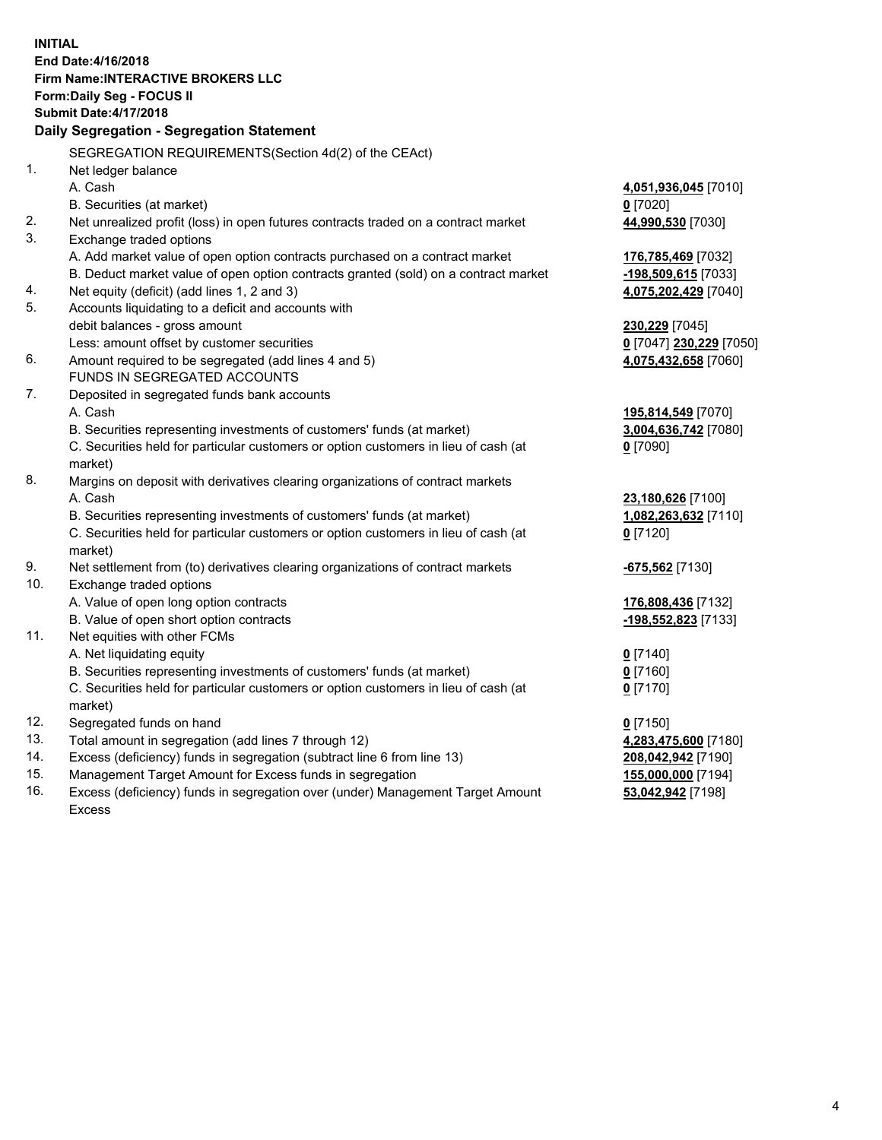**INITIAL End Date:4/16/2018 Firm Name:INTERACTIVE BROKERS LLC Form:Daily Seg - FOCUS II Submit Date:4/17/2018 Daily Segregation - Segregation Statement** SEGREGATION REQUIREMENTS(Section 4d(2) of the CEAct) 1. Net ledger balance A. Cash **4,051,936,045** [7010] B. Securities (at market) **0** [7020] 2. Net unrealized profit (loss) in open futures contracts traded on a contract market **44,990,530** [7030] 3. Exchange traded options A. Add market value of open option contracts purchased on a contract market **176,785,469** [7032] B. Deduct market value of open option contracts granted (sold) on a contract market **-198,509,615** [7033] 4. Net equity (deficit) (add lines 1, 2 and 3) **4,075,202,429** [7040] 5. Accounts liquidating to a deficit and accounts with debit balances - gross amount **230,229** [7045] Less: amount offset by customer securities **0** [7047] **230,229** [7050] 6. Amount required to be segregated (add lines 4 and 5) **4,075,432,658** [7060] FUNDS IN SEGREGATED ACCOUNTS 7. Deposited in segregated funds bank accounts A. Cash **195,814,549** [7070] B. Securities representing investments of customers' funds (at market) **3,004,636,742** [7080] C. Securities held for particular customers or option customers in lieu of cash (at market) **0** [7090] 8. Margins on deposit with derivatives clearing organizations of contract markets A. Cash **23,180,626** [7100] B. Securities representing investments of customers' funds (at market) **1,082,263,632** [7110] C. Securities held for particular customers or option customers in lieu of cash (at market) **0** [7120] 9. Net settlement from (to) derivatives clearing organizations of contract markets **-675,562** [7130] 10. Exchange traded options A. Value of open long option contracts **176,808,436** [7132] B. Value of open short option contracts **-198,552,823** [7133] 11. Net equities with other FCMs A. Net liquidating equity **0** [7140] B. Securities representing investments of customers' funds (at market) **0** [7160] C. Securities held for particular customers or option customers in lieu of cash (at market) **0** [7170] 12. Segregated funds on hand **0** [7150] 13. Total amount in segregation (add lines 7 through 12) **4,283,475,600** [7180] 14. Excess (deficiency) funds in segregation (subtract line 6 from line 13) **208,042,942** [7190] 15. Management Target Amount for Excess funds in segregation **155,000,000** [7194] **53,042,942** [7198]

16. Excess (deficiency) funds in segregation over (under) Management Target Amount Excess

4